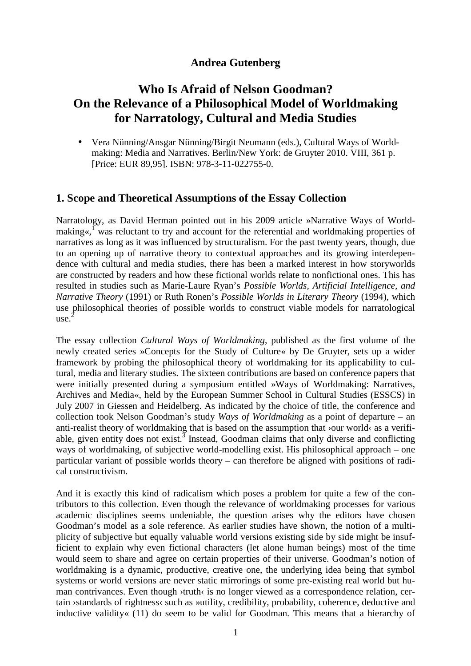## **Andrea Gutenberg**

# **Who Is Afraid of Nelson Goodman? On the Relevance of a Philosophical Model of Worldmaking for Narratology, Cultural and Media Studies**

• Vera Nünning/Ansgar Nünning/Birgit Neumann (eds.), Cultural Ways of Worldmaking: Media and Narratives. Berlin/New York: de Gruyter 2010. VIII, 361 p. [Price: EUR 89,95]. ISBN: 978-3-11-022755-0.

### **1. Scope and Theoretical Assumptions of the Essay Collection**

Narratology, as David Herman pointed out in his 2009 article »Narrative Ways of Worldmaking«,<sup>1</sup> was reluctant to try and account for the referential and worldmaking properties of narratives as long as it was influenced by structuralism. For the past twenty years, though, due to an opening up of narrative theory to contextual approaches and its growing interdependence with cultural and media studies, there has been a marked interest in how storyworlds are constructed by readers and how these fictional worlds relate to nonfictional ones. This has resulted in studies such as Marie-Laure Ryan's *Possible Worlds, Artificial Intelligence, and Narrative Theory* (1991) or Ruth Ronen's *Possible Worlds in Literary Theory* (1994), which use philosophical theories of possible worlds to construct viable models for narratological use. 2

The essay collection *Cultural Ways of Worldmaking*, published as the first volume of the newly created series »Concepts for the Study of Culture« by De Gruyter, sets up a wider framework by probing the philosophical theory of worldmaking for its applicability to cultural, media and literary studies. The sixteen contributions are based on conference papers that were initially presented during a symposium entitled »Ways of Worldmaking: Narratives, Archives and Media«, held by the European Summer School in Cultural Studies (ESSCS) in July 2007 in Giessen and Heidelberg. As indicated by the choice of title, the conference and collection took Nelson Goodman's study *Ways of Worldmaking* as a point of departure – an anti-realist theory of worldmaking that is based on the assumption that  $\alpha$  >our world $\alpha$  as a verifiable, given entity does not exist.<sup>3</sup> Instead, Goodman claims that only diverse and conflicting ways of worldmaking, of subjective world-modelling exist. His philosophical approach – one particular variant of possible worlds theory – can therefore be aligned with positions of radical constructivism.

And it is exactly this kind of radicalism which poses a problem for quite a few of the contributors to this collection. Even though the relevance of worldmaking processes for various academic disciplines seems undeniable, the question arises why the editors have chosen Goodman's model as a sole reference. As earlier studies have shown, the notion of a multiplicity of subjective but equally valuable world versions existing side by side might be insufficient to explain why even fictional characters (let alone human beings) most of the time would seem to share and agree on certain properties of their universe. Goodman's notion of worldmaking is a dynamic, productive, creative one, the underlying idea being that symbol systems or world versions are never static mirrorings of some pre-existing real world but human contrivances. Even though ›truth‹ is no longer viewed as a correspondence relation, certain ›standards of rightness‹ such as »utility, credibility, probability, coherence, deductive and inductive validity« (11) do seem to be valid for Goodman. This means that a hierarchy of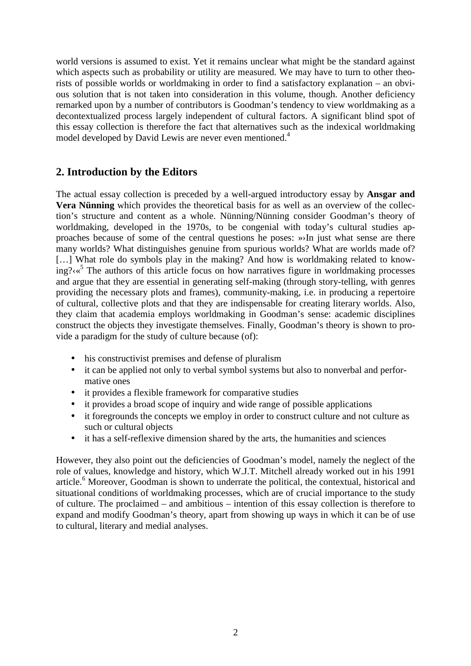world versions is assumed to exist. Yet it remains unclear what might be the standard against which aspects such as probability or utility are measured. We may have to turn to other theorists of possible worlds or worldmaking in order to find a satisfactory explanation – an obvious solution that is not taken into consideration in this volume, though. Another deficiency remarked upon by a number of contributors is Goodman's tendency to view worldmaking as a decontextualized process largely independent of cultural factors. A significant blind spot of this essay collection is therefore the fact that alternatives such as the indexical worldmaking model developed by David Lewis are never even mentioned.<sup>4</sup>

## **2. Introduction by the Editors**

The actual essay collection is preceded by a well-argued introductory essay by **Ansgar and Vera Nünning** which provides the theoretical basis for as well as an overview of the collection's structure and content as a whole. Nünning/Nünning consider Goodman's theory of worldmaking, developed in the 1970s, to be congenial with today's cultural studies approaches because of some of the central questions he poses: »›In just what sense are there many worlds? What distinguishes genuine from spurious worlds? What are worlds made of? [...] What role do symbols play in the making? And how is worldmaking related to knowing?< $\alpha^5$  The authors of this article focus on how narratives figure in worldmaking processes and argue that they are essential in generating self-making (through story-telling, with genres providing the necessary plots and frames), community-making, i.e. in producing a repertoire of cultural, collective plots and that they are indispensable for creating literary worlds. Also, they claim that academia employs worldmaking in Goodman's sense: academic disciplines construct the objects they investigate themselves. Finally, Goodman's theory is shown to provide a paradigm for the study of culture because (of):

- his constructivist premises and defense of pluralism
- it can be applied not only to verbal symbol systems but also to nonverbal and performative ones
- it provides a flexible framework for comparative studies
- it provides a broad scope of inquiry and wide range of possible applications
- it foregrounds the concepts we employ in order to construct culture and not culture as such or cultural objects
- it has a self-reflexive dimension shared by the arts, the humanities and sciences

However, they also point out the deficiencies of Goodman's model, namely the neglect of the role of values, knowledge and history, which W.J.T. Mitchell already worked out in his 1991 article.<sup>6</sup> Moreover, Goodman is shown to underrate the political, the contextual, historical and situational conditions of worldmaking processes, which are of crucial importance to the study of culture. The proclaimed – and ambitious – intention of this essay collection is therefore to expand and modify Goodman's theory, apart from showing up ways in which it can be of use to cultural, literary and medial analyses.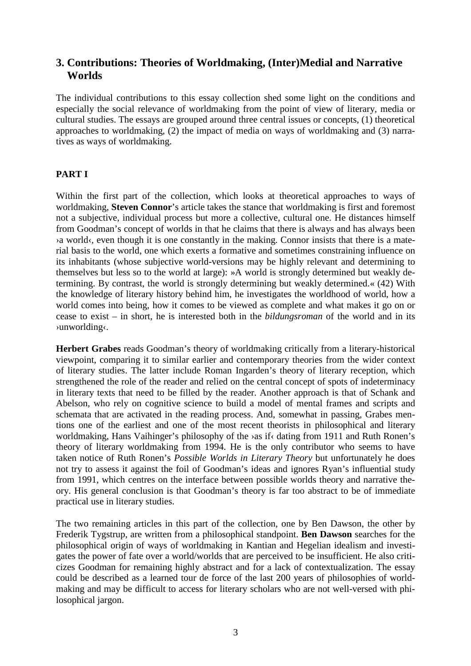### **3. Contributions: Theories of Worldmaking, (Inter)Medial and Narrative Worlds**

The individual contributions to this essay collection shed some light on the conditions and especially the social relevance of worldmaking from the point of view of literary, media or cultural studies. The essays are grouped around three central issues or concepts, (1) theoretical approaches to worldmaking, (2) the impact of media on ways of worldmaking and (3) narratives as ways of worldmaking.

### **PART I**

Within the first part of the collection, which looks at theoretical approaches to ways of worldmaking, **Steven Connor**'s article takes the stance that worldmaking is first and foremost not a subjective, individual process but more a collective, cultural one. He distances himself from Goodman's concept of worlds in that he claims that there is always and has always been  $\alpha$  world $\beta$ , even though it is one constantly in the making. Connor insists that there is a material basis to the world, one which exerts a formative and sometimes constraining influence on its inhabitants (whose subjective world-versions may be highly relevant and determining to themselves but less so to the world at large): »A world is strongly determined but weakly determining. By contrast, the world is strongly determining but weakly determined.« (42) With the knowledge of literary history behind him, he investigates the worldhood of world, how a world comes into being, how it comes to be viewed as complete and what makes it go on or cease to exist – in short, he is interested both in the *bildungsroman* of the world and in its ›unworlding‹.

**Herbert Grabes** reads Goodman's theory of worldmaking critically from a literary-historical viewpoint, comparing it to similar earlier and contemporary theories from the wider context of literary studies. The latter include Roman Ingarden's theory of literary reception, which strengthened the role of the reader and relied on the central concept of spots of indeterminacy in literary texts that need to be filled by the reader. Another approach is that of Schank and Abelson, who rely on cognitive science to build a model of mental frames and scripts and schemata that are activated in the reading process. And, somewhat in passing, Grabes mentions one of the earliest and one of the most recent theorists in philosophical and literary worldmaking, Hans Vaihinger's philosophy of the ›as if‹ dating from 1911 and Ruth Ronen's theory of literary worldmaking from 1994. He is the only contributor who seems to have taken notice of Ruth Ronen's *Possible Worlds in Literary Theory* but unfortunately he does not try to assess it against the foil of Goodman's ideas and ignores Ryan's influential study from 1991, which centres on the interface between possible worlds theory and narrative theory. His general conclusion is that Goodman's theory is far too abstract to be of immediate practical use in literary studies.

The two remaining articles in this part of the collection, one by Ben Dawson, the other by Frederik Tygstrup, are written from a philosophical standpoint. **Ben Dawson** searches for the philosophical origin of ways of worldmaking in Kantian and Hegelian idealism and investigates the power of fate over a world/worlds that are perceived to be insufficient. He also criticizes Goodman for remaining highly abstract and for a lack of contextualization. The essay could be described as a learned tour de force of the last 200 years of philosophies of worldmaking and may be difficult to access for literary scholars who are not well-versed with philosophical jargon.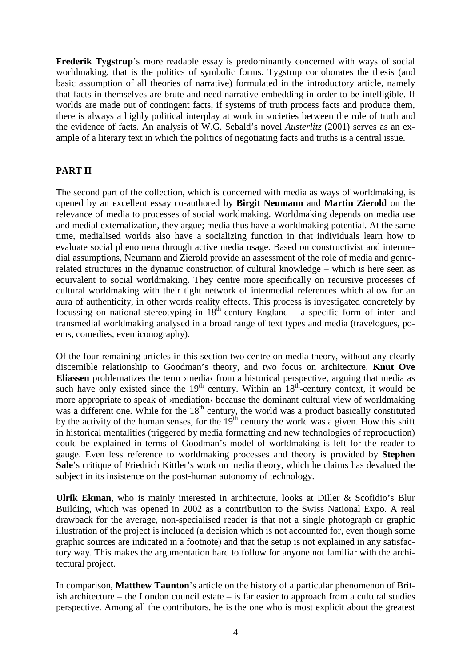**Frederik Tygstrup**'s more readable essay is predominantly concerned with ways of social worldmaking, that is the politics of symbolic forms. Tygstrup corroborates the thesis (and basic assumption of all theories of narrative) formulated in the introductory article, namely that facts in themselves are brute and need narrative embedding in order to be intelligible. If worlds are made out of contingent facts, if systems of truth process facts and produce them, there is always a highly political interplay at work in societies between the rule of truth and the evidence of facts. An analysis of W.G. Sebald's novel *Austerlitz* (2001) serves as an example of a literary text in which the politics of negotiating facts and truths is a central issue.

#### **PART II**

The second part of the collection, which is concerned with media as ways of worldmaking, is opened by an excellent essay co-authored by **Birgit Neumann** and **Martin Zierold** on the relevance of media to processes of social worldmaking. Worldmaking depends on media use and medial externalization, they argue; media thus have a worldmaking potential. At the same time, medialised worlds also have a socializing function in that individuals learn how to evaluate social phenomena through active media usage. Based on constructivist and intermedial assumptions, Neumann and Zierold provide an assessment of the role of media and genrerelated structures in the dynamic construction of cultural knowledge – which is here seen as equivalent to social worldmaking. They centre more specifically on recursive processes of cultural worldmaking with their tight network of intermedial references which allow for an aura of authenticity, in other words reality effects. This process is investigated concretely by focussing on national stereotyping in  $18<sup>th</sup>$ -century England – a specific form of inter- and transmedial worldmaking analysed in a broad range of text types and media (travelogues, poems, comedies, even iconography).

Of the four remaining articles in this section two centre on media theory, without any clearly discernible relationship to Goodman's theory, and two focus on architecture. **Knut Ove Eliassen** problematizes the term ›media‹ from a historical perspective, arguing that media as such have only existed since the  $19<sup>th</sup>$  century. Within an  $18<sup>th</sup>$ -century context, it would be more appropriate to speak of ›mediation‹ because the dominant cultural view of worldmaking was a different one. While for the  $18<sup>th</sup>$  century, the world was a product basically constituted by the activity of the human senses, for the  $19<sup>th</sup>$  century the world was a given. How this shift in historical mentalities (triggered by media formatting and new technologies of reproduction) could be explained in terms of Goodman's model of worldmaking is left for the reader to gauge. Even less reference to worldmaking processes and theory is provided by **Stephen Sale**'s critique of Friedrich Kittler's work on media theory, which he claims has devalued the subject in its insistence on the post-human autonomy of technology.

**Ulrik Ekman**, who is mainly interested in architecture, looks at Diller & Scofidio's Blur Building, which was opened in 2002 as a contribution to the Swiss National Expo. A real drawback for the average, non-specialised reader is that not a single photograph or graphic illustration of the project is included (a decision which is not accounted for, even though some graphic sources are indicated in a footnote) and that the setup is not explained in any satisfactory way. This makes the argumentation hard to follow for anyone not familiar with the architectural project.

In comparison, **Matthew Taunton**'s article on the history of a particular phenomenon of British architecture – the London council estate – is far easier to approach from a cultural studies perspective. Among all the contributors, he is the one who is most explicit about the greatest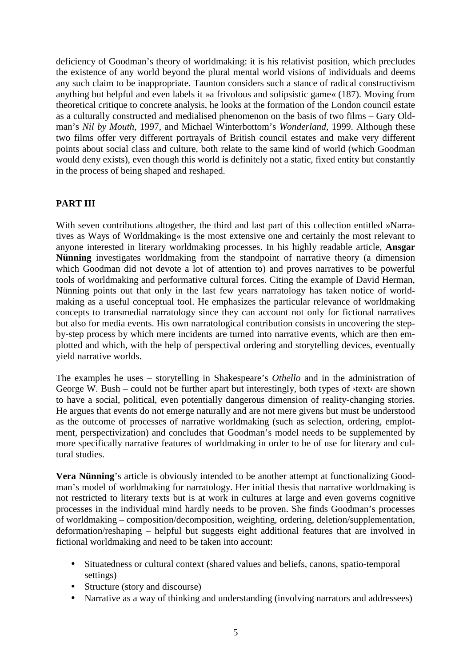deficiency of Goodman's theory of worldmaking: it is his relativist position, which precludes the existence of any world beyond the plural mental world visions of individuals and deems any such claim to be inappropriate. Taunton considers such a stance of radical constructivism anything but helpful and even labels it »a frivolous and solipsistic game« (187). Moving from theoretical critique to concrete analysis, he looks at the formation of the London council estate as a culturally constructed and medialised phenomenon on the basis of two films – Gary Oldman's *Nil by Mouth*, 1997, and Michael Winterbottom's *Wonderland*, 1999. Although these two films offer very different portrayals of British council estates and make very different points about social class and culture, both relate to the same kind of world (which Goodman would deny exists), even though this world is definitely not a static, fixed entity but constantly in the process of being shaped and reshaped.

### **PART III**

With seven contributions altogether, the third and last part of this collection entitled »Narratives as Ways of Worldmaking« is the most extensive one and certainly the most relevant to anyone interested in literary worldmaking processes. In his highly readable article, **Ansgar Nünning** investigates worldmaking from the standpoint of narrative theory (a dimension which Goodman did not devote a lot of attention to) and proves narratives to be powerful tools of worldmaking and performative cultural forces. Citing the example of David Herman, Nünning points out that only in the last few years narratology has taken notice of worldmaking as a useful conceptual tool. He emphasizes the particular relevance of worldmaking concepts to transmedial narratology since they can account not only for fictional narratives but also for media events. His own narratological contribution consists in uncovering the stepby-step process by which mere incidents are turned into narrative events, which are then emplotted and which, with the help of perspectival ordering and storytelling devices, eventually yield narrative worlds.

The examples he uses – storytelling in Shakespeare's *Othello* and in the administration of George W. Bush – could not be further apart but interestingly, both types of  $\lambda$ text $\lambda$  are shown to have a social, political, even potentially dangerous dimension of reality-changing stories. He argues that events do not emerge naturally and are not mere givens but must be understood as the outcome of processes of narrative worldmaking (such as selection, ordering, emplotment, perspectivization) and concludes that Goodman's model needs to be supplemented by more specifically narrative features of worldmaking in order to be of use for literary and cultural studies.

**Vera Nünning**'s article is obviously intended to be another attempt at functionalizing Goodman's model of worldmaking for narratology. Her initial thesis that narrative worldmaking is not restricted to literary texts but is at work in cultures at large and even governs cognitive processes in the individual mind hardly needs to be proven. She finds Goodman's processes of worldmaking – composition/decomposition, weighting, ordering, deletion/supplementation, deformation/reshaping – helpful but suggests eight additional features that are involved in fictional worldmaking and need to be taken into account:

- Situatedness or cultural context (shared values and beliefs, canons, spatio-temporal settings)
- Structure (story and discourse)
- Narrative as a way of thinking and understanding (involving narrators and addressees)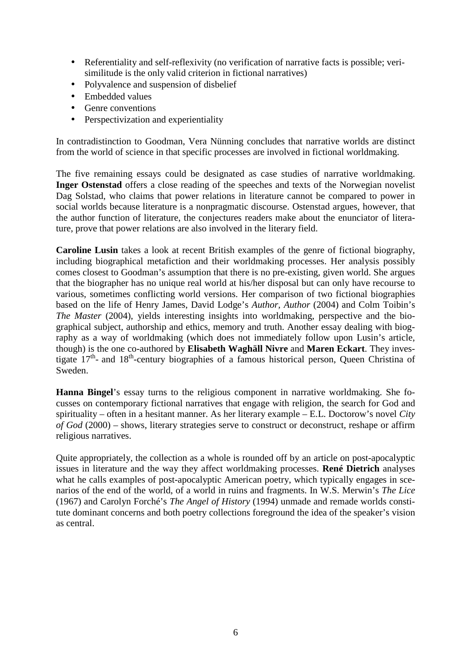- Referentiality and self-reflexivity (no verification of narrative facts is possible; verisimilitude is the only valid criterion in fictional narratives)
- Polyvalence and suspension of disbelief
- Embedded values
- Genre conventions
- Perspectivization and experientiality

In contradistinction to Goodman, Vera Nünning concludes that narrative worlds are distinct from the world of science in that specific processes are involved in fictional worldmaking.

The five remaining essays could be designated as case studies of narrative worldmaking. **Inger Ostenstad** offers a close reading of the speeches and texts of the Norwegian novelist Dag Solstad, who claims that power relations in literature cannot be compared to power in social worlds because literature is a nonpragmatic discourse. Ostenstad argues, however, that the author function of literature, the conjectures readers make about the enunciator of literature, prove that power relations are also involved in the literary field.

**Caroline Lusin** takes a look at recent British examples of the genre of fictional biography, including biographical metafiction and their worldmaking processes. Her analysis possibly comes closest to Goodman's assumption that there is no pre-existing, given world. She argues that the biographer has no unique real world at his/her disposal but can only have recourse to various, sometimes conflicting world versions. Her comparison of two fictional biographies based on the life of Henry James, David Lodge's *Author, Author* (2004) and Colm Toibin's *The Master* (2004), yields interesting insights into worldmaking, perspective and the biographical subject, authorship and ethics, memory and truth. Another essay dealing with biography as a way of worldmaking (which does not immediately follow upon Lusin's article, though) is the one co-authored by **Elisabeth Waghäll Nivre** and **Maren Eckart**. They investigate 17<sup>th</sup>- and 18<sup>th</sup>-century biographies of a famous historical person, Queen Christina of Sweden.

**Hanna Bingel**'s essay turns to the religious component in narrative worldmaking. She focusses on contemporary fictional narratives that engage with religion, the search for God and spirituality – often in a hesitant manner. As her literary example – E.L. Doctorow's novel *City of God* (2000) – shows, literary strategies serve to construct or deconstruct, reshape or affirm religious narratives.

Quite appropriately, the collection as a whole is rounded off by an article on post-apocalyptic issues in literature and the way they affect worldmaking processes. **René Dietrich** analyses what he calls examples of post-apocalyptic American poetry, which typically engages in scenarios of the end of the world, of a world in ruins and fragments. In W.S. Merwin's *The Lice*  (1967) and Carolyn Forché's *The Angel of History* (1994) unmade and remade worlds constitute dominant concerns and both poetry collections foreground the idea of the speaker's vision as central.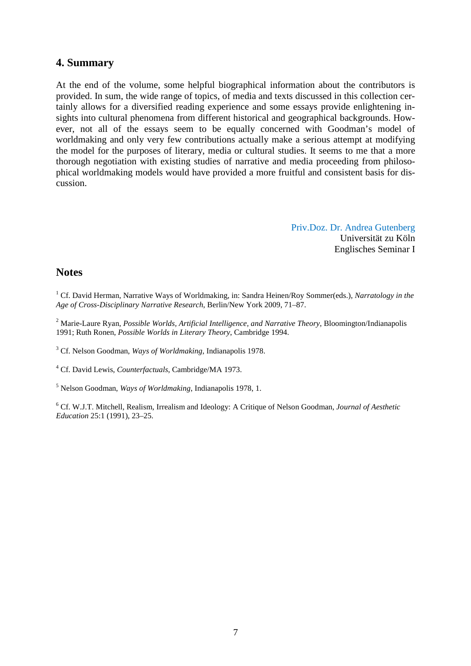### **4. Summary**

At the end of the volume, some helpful biographical information about the contributors is provided. In sum, the wide range of topics, of media and texts discussed in this collection certainly allows for a diversified reading experience and some essays provide enlightening insights into cultural phenomena from different historical and geographical backgrounds. However, not all of the essays seem to be equally concerned with Goodman's model of worldmaking and only very few contributions actually make a serious attempt at modifying the model for the purposes of literary, media or cultural studies. It seems to me that a more thorough negotiation with existing studies of narrative and media proceeding from philosophical worldmaking models would have provided a more fruitful and consistent basis for discussion.

> Priv.Doz. Dr. Andrea Gutenberg Universität zu Köln Englisches Seminar I

### **Notes**

<sup>1</sup> Cf. David Herman, Narrative Ways of Worldmaking, in: Sandra Heinen/Roy Sommer(eds.), *Narratology in the Age of Cross-Disciplinary Narrative Research*, Berlin/New York 2009, 71–87.

2 Marie-Laure Ryan, *Possible Worlds, Artificial Intelligence, and Narrative Theory*, Bloomington/Indianapolis 1991; Ruth Ronen, *Possible Worlds in Literary Theory*, Cambridge 1994.

3 Cf. Nelson Goodman, *Ways of Worldmaking*, Indianapolis 1978.

4 Cf. David Lewis, *Counterfactuals*, Cambridge/MA 1973.

5 Nelson Goodman, *Ways of Worldmaking*, Indianapolis 1978, 1.

6 Cf. W.J.T. Mitchell, Realism, Irrealism and Ideology: A Critique of Nelson Goodman, *Journal of Aesthetic Education* 25:1 (1991), 23–25.